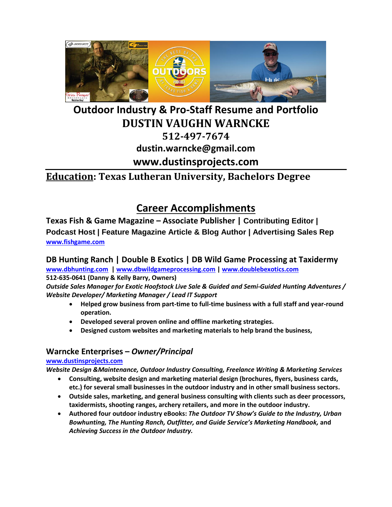

## **Outdoor Industry & Pro-Staff Resume and Portfolio DUSTIN VAUGHN WARNCKE 512-497-7674 dustin.warncke@gmail.com www.dustinsprojects.com**

### **Education: Texas Lutheran University, Bachelors Degree**

### **Career Accomplishments**

**Texas Fish & Game Magazine – Associate Publisher | Contributing Editor | Podcast Host | Feature Magazine Article & Blog Author | Advertising Sales Rep [www.fishgame.com](http://www.fishgame.com/)**

### **DB Hunting Ranch | Double B Exotics | DB Wild Game Processing at Taxidermy**

**[www.dbhunting.com](http://www.dbhunting.com/) | [www.dbwildgameprocessing.com](http://www.dbwildgameprocessing.com/) | [www.doublebexotics.com](http://www.doublebexotics.com/)  512-635-0641 (Danny & Kelly Barry, Owners)**

*Outside Sales Manager for Exotic Hoofstock Live Sale & Guided and Semi-Guided Hunting Adventures / Website Developer/ Marketing Manager / Lead IT Support*

- **Helped grow business from part-time to full-time business with a full staff and year-round operation.**
- **Developed several proven online and offline marketing strategies.**
- **Designed custom websites and marketing materials to help brand the business,**

### **Warncke Enterprises –** *Owner/Principal*

#### **[www.dustinsprojects.com](http://www.dustinsprojects.com/)**

*Website Design &Maintenance, Outdoor Industry Consulting, Freelance Writing & Marketing Services*

- **Consulting, website design and marketing material design (brochures, flyers, business cards, etc.) for several small businesses in the outdoor industry and in other small business sectors.**
- **Outside sales, marketing, and general business consulting with clients such as deer processors, taxidermists, shooting ranges, archery retailers, and more in the outdoor industry.**
- **Authored four outdoor industry eBooks:** *The Outdoor TV Show's Guide to the Industry, Urban Bowhunting, The Hunting Ranch, Outfitter, and Guide Service's Marketing Handbook,* **and** *Achieving Success in the Outdoor Industry.*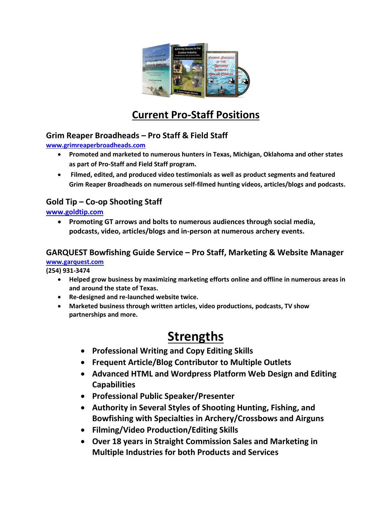

## **Current Pro-Staff Positions**

### **Grim Reaper Broadheads – Pro Staff & Field Staff**

**[www.grimreaperbroadheads.com](http://www.grimreaperbroadheads.com/)**

- **Promoted and marketed to numerous hunters in Texas, Michigan, Oklahoma and other states as part of Pro-Staff and Field Staff program.**
- **Filmed, edited, and produced video testimonials as well as product segments and featured Grim Reaper Broadheads on numerous self-filmed hunting videos, articles/blogs and podcasts.**

### **Gold Tip – Co-op Shooting Staff**

**[www.goldtip.com](http://www.goldtip.com/)**

• **Promoting GT arrows and bolts to numerous audiences through social media, podcasts, video, articles/blogs and in-person at numerous archery events.**

### **GARQUEST Bowfishing Guide Service – Pro Staff, Marketing & Website Manager [www.garquest.com](http://www.garquest.com/)**

**(254) 931-3474**

- **Helped grow business by maximizing marketing efforts online and offline in numerous areas in and around the state of Texas.**
- **Re-designed and re-launched website twice.**
- **Marketed business through written articles, video productions, podcasts, TV show partnerships and more.**

## **Strengths**

- **Professional Writing and Copy Editing Skills**
- **Frequent Article/Blog Contributor to Multiple Outlets**
- **Advanced HTML and Wordpress Platform Web Design and Editing Capabilities**
- **Professional Public Speaker/Presenter**
- **Authority in Several Styles of Shooting Hunting, Fishing, and Bowfishing with Specialties in Archery/Crossbows and Airguns**
- **Filming/Video Production/Editing Skills**
- **Over 18 years in Straight Commission Sales and Marketing in Multiple Industries for both Products and Services**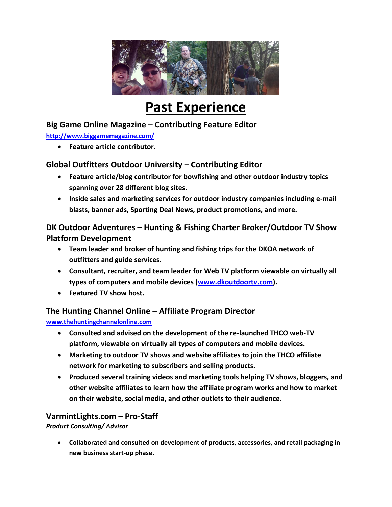

# **Past Experience**

### **Big Game Online Magazine – Contributing Feature Editor**

**<http://www.biggamemagazine.com/>**

• **Feature article contributor.**

### **Global Outfitters Outdoor University – Contributing Editor**

- **Feature article/blog contributor for bowfishing and other outdoor industry topics spanning over 28 different blog sites.**
- **Inside sales and marketing services for outdoor industry companies including e-mail blasts, banner ads, Sporting Deal News, product promotions, and more.**

### **DK Outdoor Adventures – Hunting & Fishing Charter Broker/Outdoor TV Show Platform Development**

- **Team leader and broker of hunting and fishing trips for the DKOA network of outfitters and guide services.**
- **Consultant, recruiter, and team leader for Web TV platform viewable on virtually all types of computers and mobile devices [\(www.dkoutdoortv.com\)](http://www.dkoutdoortv.com/).**
- **Featured TV show host.**

### **The Hunting Channel Online – Affiliate Program Director**

#### **[www.thehuntingchannelonline.com](http://www.thehuntingchannelonline.com/)**

- **Consulted and advised on the development of the re-launched THCO web-TV platform, viewable on virtually all types of computers and mobile devices.**
- **Marketing to outdoor TV shows and website affiliates to join the THCO affiliate network for marketing to subscribers and selling products.**
- **Produced several training videos and marketing tools helping TV shows, bloggers, and other website affiliates to learn how the affiliate program works and how to market on their website, social media, and other outlets to their audience.**

### **VarmintLights.com – Pro-Staff**

*Product Consulting/ Advisor*

• **Collaborated and consulted on development of products, accessories, and retail packaging in new business start-up phase.**